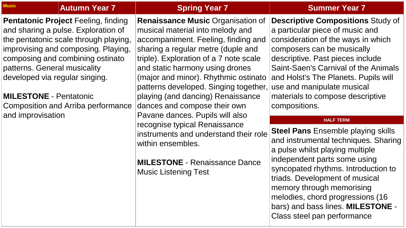**Pentatonic Project** Feeling, finding and sharing a pulse. Exploration of the pentatonic scale through playing, improvising and composing. Playing, composing and combining ostinato patterns. General musicality developed via regular singing.

**MILESTONE** - Pentatonic Composition and Arriba performance and improvisation

# **Renaissance Music** Organisation of musical material into melody and accompaniment. Feeling, finding and sharing a regular metre (duple and triple). Exploration of a 7 note scale and static harmony using drones (major and minor). Rhythmic ostinato patterns developed. Singing together, playing (and dancing) Renaissance dances and compose their own Pavane dances. Pupils will also recognise typical Renaissance instruments and understand their role within ensembles.

**MILESTONE** - Renaissance Dance Music Listening Test

# **Music Autumn Year 7 Spring Year 7 Summer Year 7**

**Descriptive Compositions** Study of

a particular piece of music and consideration of the ways in which composers can be musically descriptive. Past pieces include Saint-Saen's Carnival of the Animals and Holst's The Planets. Pupils will use and manipulate musical materials to compose descriptive compositions.

### **HALF TERM**

**Steel Pans Ensemble playing skills** and instrumental techniques. Sharing a pulse whilst playing multiple independent parts some using syncopated rhythms. Introduction to triads. Development of musical memory through memorising melodies, chord progressions (16 bars) and bass lines. **MILESTONE** - Class steel pan performance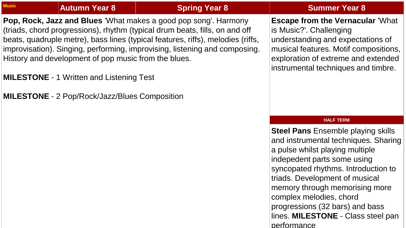|  |  |  | <b>Autumn Year</b> |
|--|--|--|--------------------|
|  |  |  |                    |

**Pop, Rock, Jazz and Blues** 'What makes a good pop song'. Harmony (triads, chord progressions), rhythm (typical drum beats, fills, on and off beats, quadruple metre), bass lines (typical features, riffs), melodies (riffs, improvisation). Singing, performing, improvising, listening and composing. History and development of pop music from the blues.

**MILESTONE** - 1 Written and Listening Test

**MILESTONE** - 2 Pop/Rock/Jazz/Blues Composition

# **Music Autumn Year 8 Spring Year 8 Summer Year 8**

## **Escape from the Vernacular** 'What

is Music?'. Challenging understanding and expectations of musical features. Motif compositions, exploration of extreme and extended instrumental techniques and timbre.

## **HALF TERM**

**Steel Pans Ensemble playing skills** and instrumental techniques. Sharing a pulse whilst playing multiple indepedent parts some using syncopated rhythms. Introduction to triads. Development of musical memory through memorising more complex melodies, chord progressions (32 bars) and bass lines. **MILESTONE** - Class steel pan performance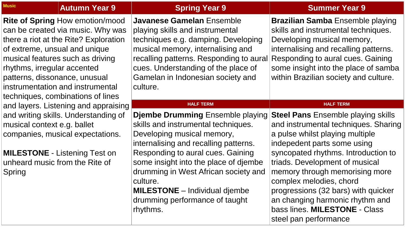| <b>Music</b><br><b>Autumn Year 9</b>                                                                                                                                                                                                                                                                                               | <b>Spring Year 9</b>                                                                                                                                                                                                                                                        | <b>Summer Year 9</b>                                                                                                                                                                                                                                                        |
|------------------------------------------------------------------------------------------------------------------------------------------------------------------------------------------------------------------------------------------------------------------------------------------------------------------------------------|-----------------------------------------------------------------------------------------------------------------------------------------------------------------------------------------------------------------------------------------------------------------------------|-----------------------------------------------------------------------------------------------------------------------------------------------------------------------------------------------------------------------------------------------------------------------------|
| <b>Rite of Spring How emotion/mood</b><br>can be created via music. Why was<br>there a riot at the Rite? Exploration<br>of extreme, unsual and unique<br>musical features such as driving<br>rhythms, irregular accented<br>patterns, dissonance, unusual<br>instrumentation and instrumental<br>techniques, combinations of lines | Javanese Gamelan Ensemble<br>playing skills and instrumental<br>techniques e.g. damping. Developing<br>musical memory, internalising and<br>recalling patterns. Responding to aural<br>cues. Understanding of the place of<br>Gamelan in Indonesian society and<br>culture. | <b>Brazilian Samba</b> Ensemble playing<br>skills and instrumental techniques.<br>Developing musical memory,<br>internalising and recalling patterns.<br>Responding to aural cues. Gaining<br>some insight into the place of samba<br>within Brazilian society and culture. |
| and layers. Listening and appraising                                                                                                                                                                                                                                                                                               | <b>HALF TERM</b>                                                                                                                                                                                                                                                            | <b>HALF TERM</b>                                                                                                                                                                                                                                                            |
| and writing skills. Understanding of<br>musical context e.g. ballet<br>companies, musical expectations.                                                                                                                                                                                                                            | <b>Djembe Drumming Ensemble playing</b><br>skills and instrumental techniques.<br>Developing musical memory,<br>internalising and recalling patterns.                                                                                                                       | <b>Steel Pans</b> Ensemble playing skills<br>and instrumental techniques. Sharing<br>a pulse whilst playing multiple<br>indepedent parts some using                                                                                                                         |
| <b>MILESTONE - Listening Test on</b><br>unheard music from the Rite of<br>Spring                                                                                                                                                                                                                                                   | Responding to aural cues. Gaining<br>some insight into the place of djembe<br>drumming in West African society and<br>culture.<br><b>MILESTONE</b> – Individual djembe<br>drumming performance of taught<br>rhythms.                                                        | syncopated rhythms. Introduction to<br>triads. Development of musical<br>memory through memorising more<br>complex melodies, chord<br>progressions (32 bars) with quicker<br>an changing harmonic rhythm and<br>bass lines. MILESTONE - Class<br>steel pan performance      |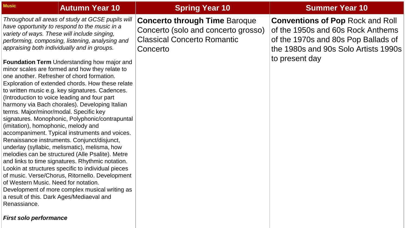| <b>Music</b>                                                                                                                                                                       | <b>Autumn Year 10</b>                                                                                                                                                                                                                                                                                                                                                                                                                                                                                                                                                                                                                                                                                                                                                                                                                                                                                                                                                                                                                                                                       | <b>Spring Year 10</b>                                                                                                         | <b>Summer Year 10</b>                                                                                                                                                         |
|------------------------------------------------------------------------------------------------------------------------------------------------------------------------------------|---------------------------------------------------------------------------------------------------------------------------------------------------------------------------------------------------------------------------------------------------------------------------------------------------------------------------------------------------------------------------------------------------------------------------------------------------------------------------------------------------------------------------------------------------------------------------------------------------------------------------------------------------------------------------------------------------------------------------------------------------------------------------------------------------------------------------------------------------------------------------------------------------------------------------------------------------------------------------------------------------------------------------------------------------------------------------------------------|-------------------------------------------------------------------------------------------------------------------------------|-------------------------------------------------------------------------------------------------------------------------------------------------------------------------------|
| terms. Major/minor/modal. Specific key<br>(imitation), homophonic, melody and<br>of Western Music. Need for notation.<br>a result of this. Dark Ages/Mediaeval and<br>Renassiance. | Throughout all areas of study at GCSE pupils will<br>have opportunity to respond to the music in a<br>variety of ways. These will include singing,<br>performing, composing, listening, analysing and<br>appraising both individually and in groups.<br><b>Foundation Term</b> Understanding how major and<br>minor scales are formed and how they relate to<br>one another. Refresher of chord formation.<br>Exploration of extended chords. How these relate<br>to written music e.g. key signatures. Cadences.<br>(Introduction to voice leading and four part<br>harmony via Bach chorales). Developing Italian<br>signatures. Monophonic, Polyphonic/contrapuntal<br>accompaniment. Typical instruments and voices.<br>Renaissance instruments. Conjunct/disjunct,<br>underlay (syllabic, melismatic), melisma, how<br>melodies can be structured (Alle Psalite). Metre<br>and links to time signatures. Rhythmic notation.<br>Lookin at structures specific to individual pieces<br>of music. Verse/Chorus, Ritornello. Development<br>Development of more complex musical writing as | <b>Concerto through Time Baroque</b><br>Concerto (solo and concerto grosso)<br><b>Classical Concerto Romantic</b><br>Concerto | <b>Conventions of Pop Rock and Roll</b><br>of the 1950s and 60s Rock Anthems<br>of the 1970s and 80s Pop Ballads of<br>the 1980s and 90s Solo Artists 1990s<br>to present day |

## *First solo performance*